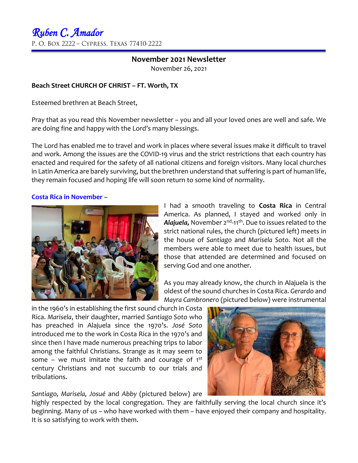## **November 2021 Newsletter** November 26, 2021

### **Beach Street CHURCH OF CHRIST – FT. Worth, TX**

Esteemed brethren at Beach Street,

Pray that as you read this November newsletter – you and all your loved ones are well and safe. We are doing fine and happy with the Lord's many blessings.

The Lord has enabled me to travel and work in places where several issues make it difficult to travel and work. Among the issues are the COVID-19 virus and the strict restrictions that each country has enacted and required for the safety of all national citizens and foreign visitors. Many local churches in Latin America are barely surviving, but the brethren understand that suffering is part of human life, they remain focused and hoping life will soon return to some kind of normality.

### **Costa Rica in November –**



I had a smooth traveling to **Costa Rica** in Central America. As planned, I stayed and worked only in **Alajuela,** November 2<sup>nd</sup>-11<sup>th</sup>. Due to issues related to the strict national rules, the church (pictured left) meets in the house of *Santiago* and *Marisela Soto*. Not all the members were able to meet due to health issues, but those that attended are determined and focused on serving God and one another.

As you may already know, the church in Alajuela is the oldest of the sound churches in Costa Rica. *Gerardo* and *Mayra Cambronero* (pictured below) were instrumental

in the 1960's in establishing the first sound church in Costa Rica. *Marisela*, their daughter, married *Santiago Soto* who has preached in Alajuela since the 1970's. *José Soto* introduced me to the work in Costa Rica in the 1970's and since then I have made numerous preaching trips to labor among the faithful Christians. Strange as it may seem to some – we must imitate the faith and courage of  $1<sup>st</sup>$ century Christians and not succumb to our trials and tribulations.

*Santiago, Marisela, Josué* and *Abby* (pictured below) are

highly respected by the local congregation. They are faithfully serving the local church since it's beginning. Many of us – who have worked with them – have enjoyed their company and hospitality. It is so satisfying to work with them.